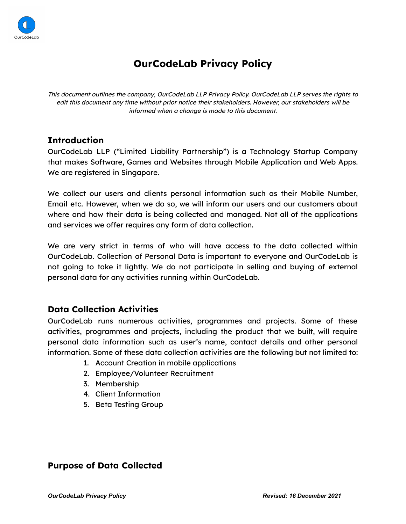

# **OurCodeLab Privacy Policy**

This document outlines the company, OurCodeLab LLP Privacy Policy. OurCodeLab LLP serves the rights to edit this document any time without prior notice their stakeholders. However, our stakeholders will be informed when <sup>a</sup> change is made to this document.

# **Introduction**

OurCodeLab LLP ("Limited Liability Partnership") is a Technology Startup Company that makes Software, Games and Websites through Mobile Application and Web Apps. We are registered in Singapore.

We collect our users and clients personal information such as their Mobile Number, Email etc. However, when we do so, we will inform our users and our customers about where and how their data is being collected and managed. Not all of the applications and services we offer requires any form of data collection.

We are very strict in terms of who will have access to the data collected within OurCodeLab. Collection of Personal Data is important to everyone and OurCodeLab is not going to take it lightly. We do not participate in selling and buying of external personal data for any activities running within OurCodeLab.

# **Data Collection Activities**

OurCodeLab runs numerous activities, programmes and projects. Some of these activities, programmes and projects, including the product that we built, will require personal data information such as user's name, contact details and other personal information. Some of these data collection activities are the following but not limited to:

- 1. Account Creation in mobile applications
- 2. Employee/Volunteer Recruitment
- 3. Membership
- 4. Client Information
- 5. Beta Testing Group

# **Purpose of Data Collected**